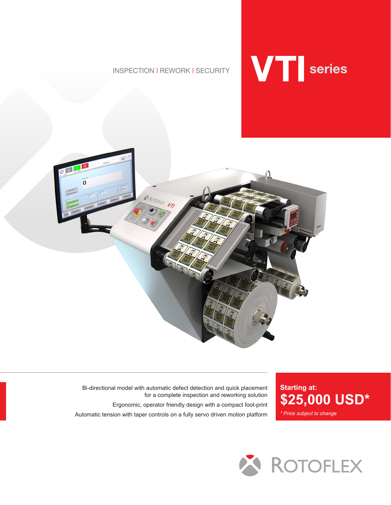INSPECTION | REWORK | SECURITY





Bi-directional model with automatic defect detection and quick placement for a complete inspection and reworking solution Ergonomic, operator friendly design with a compact foot-print Automatic tension with taper controls on a fully servo driven motion platform

**Starting at:** *\* Price subject to change* **\$25,000 USD\***